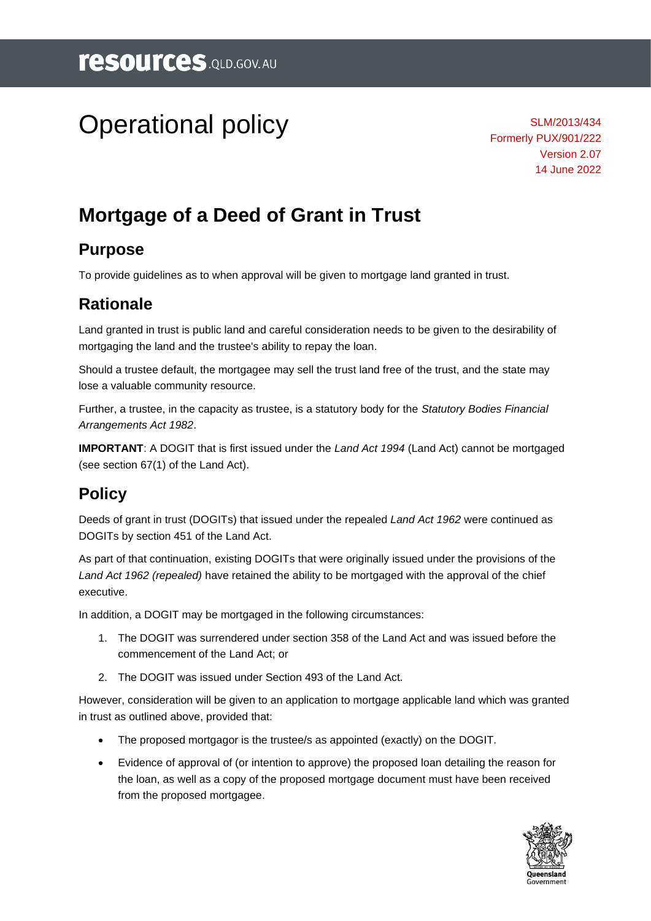# Operational policy

SLM/2013/434 Formerly PUX/901/222 Version 2.07 14 June 2022

## **Mortgage of a Deed of Grant in Trust**

#### **Purpose**

To provide guidelines as to when approval will be given to mortgage land granted in trust.

#### **Rationale**

Land granted in trust is public land and careful consideration needs to be given to the desirability of mortgaging the land and the trustee's ability to repay the loan.

Should a trustee default, the mortgagee may sell the trust land free of the trust, and the state may lose a valuable community resource.

Further, a trustee, in the capacity as trustee, is a statutory body for the *Statutory Bodies Financial Arrangements Act 1982*.

**IMPORTANT**: A DOGIT that is first issued under the *Land Act 1994* (Land Act) cannot be mortgaged (see section 67(1) of the Land Act).

#### **Policy**

Deeds of grant in trust (DOGITs) that issued under the repealed *Land Act 1962* were continued as DOGITs by section 451 of the Land Act.

As part of that continuation, existing DOGITs that were originally issued under the provisions of the *Land Act 1962 (repealed)* have retained the ability to be mortgaged with the approval of the chief executive.

In addition, a DOGIT may be mortgaged in the following circumstances:

- 1. The DOGIT was surrendered under section 358 of the Land Act and was issued before the commencement of the Land Act; or
- 2. The DOGIT was issued under Section 493 of the Land Act.

However, consideration will be given to an application to mortgage applicable land which was granted in trust as outlined above, provided that:

- The proposed mortgagor is the trustee/s as appointed (exactly) on the DOGIT.
- Evidence of approval of (or intention to approve) the proposed loan detailing the reason for the loan, as well as a copy of the proposed mortgage document must have been received from the proposed mortgagee.

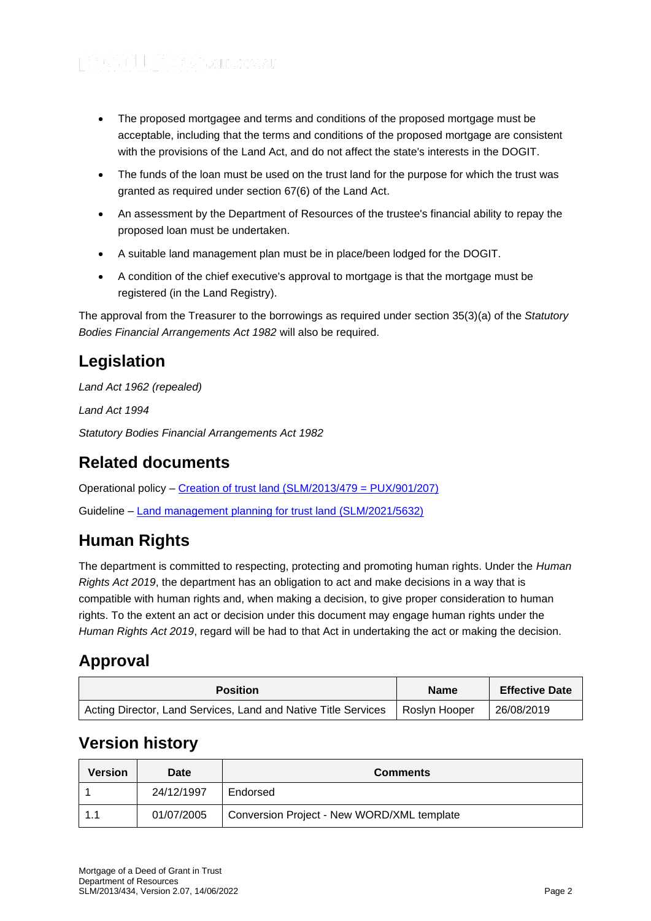- The proposed mortgagee and terms and conditions of the proposed mortgage must be acceptable, including that the terms and conditions of the proposed mortgage are consistent with the provisions of the Land Act, and do not affect the state's interests in the DOGIT.
- The funds of the loan must be used on the trust land for the purpose for which the trust was granted as required under section 67(6) of the Land Act.
- An assessment by the Department of Resources of the trustee's financial ability to repay the proposed loan must be undertaken.
- A suitable land management plan must be in place/been lodged for the DOGIT.
- A condition of the chief executive's approval to mortgage is that the mortgage must be registered (in the Land Registry).

The approval from the Treasurer to the borrowings as required under section 35(3)(a) of the *Statutory Bodies Financial Arrangements Act 1982* will also be required.

#### **Legislation**

*Land Act 1962 (repealed)*

*Land Act 1994*

*Statutory Bodies Financial Arrangements Act 1982*

#### **Related documents**

Operational policy – [Creation of trust land \(SLM/2013/479 = PUX/901/207\)](https://www.resources.qld.gov.au/?a=109113:policy_registry/creation-trust-land.pdf&ver=3.06)

Guideline – [Land management planning for trust land \(SLM/2021/5632\)](https://www.resources.qld.gov.au/?a=109113:policy_registry/land-management-planning-for-trust-land.pdf&ver=1.00)

### **Human Rights**

The department is committed to respecting, protecting and promoting human rights. Under the *Human Rights Act 2019*, the department has an obligation to act and make decisions in a way that is compatible with human rights and, when making a decision, to give proper consideration to human rights. To the extent an act or decision under this document may engage human rights under the *Human Rights Act 2019*, regard will be had to that Act in undertaking the act or making the decision.

#### **Approval**

| <b>Position</b>                                                | <b>Name</b>     | <b>Effective Date</b> |
|----------------------------------------------------------------|-----------------|-----------------------|
| Acting Director, Land Services, Land and Native Title Services | I Roslvn Hooper | 26/08/2019            |

#### **Version history**

| Version | Date       | <b>Comments</b>                            |
|---------|------------|--------------------------------------------|
|         | 24/12/1997 | Endorsed                                   |
| 1.1     | 01/07/2005 | Conversion Project - New WORD/XML template |